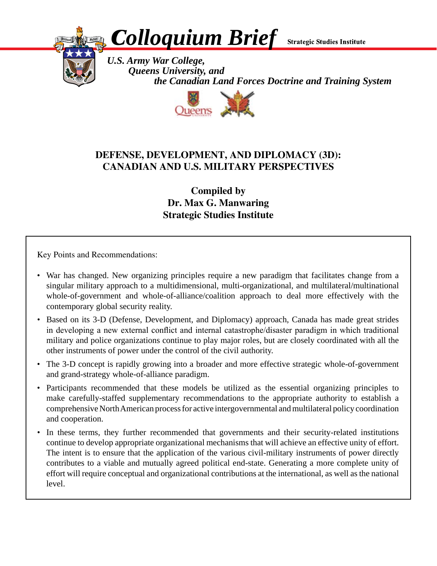

*Colloquium Brief*

*U.S. Army War College, Queens University, and the Canadian Land Forces Doctrine and Training System*



# **DEFENSE, DEVELOPMENT, AND DIPLOMACY (3D): CANADIAN AND U.S. MILITARY PERSPECTIVES**

**Compiled by Dr. Max G. Manwaring Strategic Studies Institute**

Key Points and Recommendations:

- War has changed. New organizing principles require a new paradigm that facilitates change from a singular military approach to a multidimensional, multi-organizational, and multilateral/multinational whole-of-government and whole-of-alliance/coalition approach to deal more effectively with the contemporary global security reality.
- Based on its 3-D (Defense, Development, and Diplomacy) approach, Canada has made great strides in developing a new external conflict and internal catastrophe/disaster paradigm in which traditional military and police organizations continue to play major roles, but are closely coordinated with all the other instruments of power under the control of the civil authority.
- The 3-D concept is rapidly growing into a broader and more effective strategic whole-of-government and grand-strategy whole-of-alliance paradigm.
- • Participants recommended that these models be utilized as the essential organizing principles to make carefully-staffed supplementary recommendations to the appropriate authority to establish a comprehensive North American process for active intergovernmental and multilateral policy coordination and cooperation.
- In these terms, they further recommended that governments and their security-related institutions continue to develop appropriate organizational mechanisms that will achieve an effective unity of effort. The intent is to ensure that the application of the various civil-military instruments of power directly contributes to a viable and mutually agreed political end-state. Generating a more complete unity of effort will require conceptual and organizational contributions at the international, as well as the national level.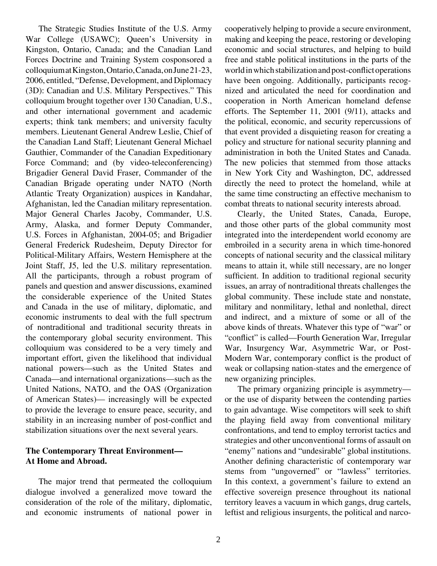The Strategic Studies Institute of the U.S. Army War College (USAWC); Queen's University in Kingston, Ontario, Canada; and the Canadian Land Forces Doctrine and Training System cosponsored a colloquium at Kingston, Ontario, Canada, on June 21-23, 2006, entitled, "Defense, Development, and Diplomacy (3D): Canadian and U.S. Military Perspectives." This colloquium brought together over 130 Canadian, U.S., and other international government and academic experts; think tank members; and university faculty members. Lieutenant General Andrew Leslie, Chief of the Canadian Land Staff; Lieutenant General Michael Gauthier, Commander of the Canadian Expeditionary Force Command; and (by video-teleconferencing) Brigadier General David Fraser, Commander of the Canadian Brigade operating under NATO (North Atlantic Treaty Organization) auspices in Kandahar, Afghanistan, led the Canadian military representation. Major General Charles Jacoby, Commander, U.S. Army, Alaska, and former Deputy Commander, U.S. Forces in Afghanistan, 2004-05; and Brigadier General Frederick Rudesheim, Deputy Director for Political-Military Affairs, Western Hemisphere at the Joint Staff, J5, led the U.S. military representation. All the participants, through a robust program of panels and question and answer discussions, examined the considerable experience of the United States and Canada in the use of military, diplomatic, and economic instruments to deal with the full spectrum of nontraditional and traditional security threats in the contemporary global security environment. This colloquium was considered to be a very timely and important effort, given the likelihood that individual national powers—such as the United States and Canada—and international organizations—such as the United Nations, NATO, and the OAS (Organization of American States)— increasingly will be expected to provide the leverage to ensure peace, security, and stability in an increasing number of post-conflict and stabilization situations over the next several years.

### **The Contemporary Threat Environment— At Home and Abroad.**

The major trend that permeated the colloquium dialogue involved a generalized move toward the consideration of the role of the military, diplomatic, and economic instruments of national power in cooperatively helping to provide a secure environment, making and keeping the peace, restoring or developing economic and social structures, and helping to build free and stable political institutions in the parts of the world in which stabilization and post-conflict operations have been ongoing. Additionally, participants recognized and articulated the need for coordination and cooperation in North American homeland defense efforts. The September 11, 2001 (9/11), attacks and the political, economic, and security repercussions of that event provided a disquieting reason for creating a policy and structure for national security planning and administration in both the United States and Canada. The new policies that stemmed from those attacks in New York City and Washington, DC, addressed directly the need to protect the homeland, while at the same time constructing an effective mechanism to combat threats to national security interests abroad.

Clearly, the United States, Canada, Europe, and those other parts of the global community most integrated into the interdependent world economy are embroiled in a security arena in which time-honored concepts of national security and the classical military means to attain it, while still necessary, are no longer sufficient. In addition to traditional regional security issues, an array of nontraditional threats challenges the global community. These include state and nonstate, military and nonmilitary, lethal and nonlethal, direct and indirect, and a mixture of some or all of the above kinds of threats. Whatever this type of "war" or "conflict" is called—Fourth Generation War, Irregular War, Insurgency War, Asymmetric War, or Post-Modern War, contemporary conflict is the product of weak or collapsing nation-states and the emergence of new organizing principles.

The primary organizing principle is asymmetry or the use of disparity between the contending parties to gain advantage. Wise competitors will seek to shift the playing field away from conventional military confrontations, and tend to employ terrorist tactics and strategies and other unconventional forms of assault on "enemy" nations and "undesirable" global institutions. Another defining characteristic of contemporary war stems from "ungoverned" or "lawless" territories. In this context, a government's failure to extend an effective sovereign presence throughout its national territory leaves a vacuum in which gangs, drug cartels, leftist and religious insurgents, the political and narco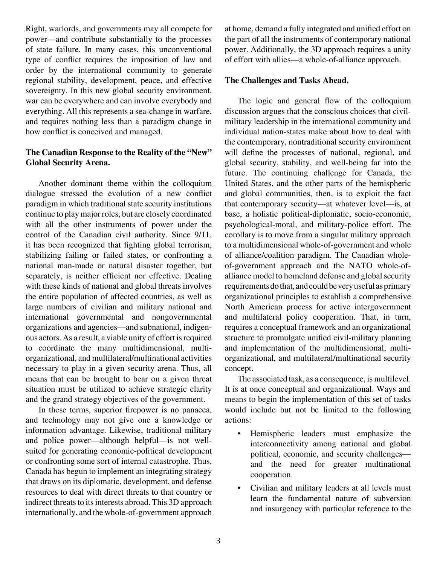Right, warlords, and governments may all compete for power—and contribute substantially to the processes of state failure. In many cases, this unconventional type of conflict requires the imposition of law and order by the international community to generate regional stability, development, peace, and effective sovereignty. In this new global security environment, war can be everywhere and can involve everybody and everything. All this represents a sea-change in warfare, and requires nothing less than a paradigm change in how conflict is conceived and managed.

## **The Canadian Response to the Reality of the "New" Global Security Arena.**

Another dominant theme within the colloquium dialogue stressed the evolution of a new conflict paradigm in which traditional state security institutions continue to play major roles, but are closely coordinated with all the other instruments of power under the control of the Canadian civil authority. Since 9/11, it has been recognized that fighting global terrorism, stabilizing failing or failed states, or confronting a national man-made or natural disaster together, but separately, is neither efficient nor effective. Dealing with these kinds of national and global threats involves the entire population of affected countries, as well as large numbers of civilian and military national and international governmental and nongovernmental organizations and agencies—and subnational, indigenous actors. As a result, a viable unity of effort is required to coordinate the many multidimensional, multiorganizational, and multilateral/multinational activities necessary to play in a given security arena. Thus, all means that can be brought to bear on a given threat situation must be utilized to achieve strategic clarity and the grand strategy objectives of the government.

In these terms, superior firepower is no panacea, and technology may not give one a knowledge or information advantage. Likewise, traditional military and police power—although helpful—is not wellsuited for generating economic-political development or confronting some sort of internal catastrophe. Thus, Canada has begun to implement an integrating strategy that draws on its diplomatic, development, and defense resources to deal with direct threats to that country or indirect threats to its interests abroad. This 3D approach internationally, and the whole-of-government approach at home, demand a fully integrated and unified effort on the part of all the instruments of contemporary national power. Additionally, the 3D approach requires a unity of effort with allies—a whole-of-alliance approach.

### **The Challenges and Tasks Ahead.**

The logic and general flow of the colloquium discussion argues that the conscious choices that civilmilitary leadership in the international community and individual nation-states make about how to deal with the contemporary, nontraditional security environment will define the processes of national, regional, and global security, stability, and well-being far into the future. The continuing challenge for Canada, the United States, and the other parts of the hemispheric and global communities, then, is to exploit the fact that contemporary security—at whatever level—is, at base, a holistic political-diplomatic, socio-economic, psychological-moral, and military-police effort. The corollary is to move from a singular military approach to a multidimensional whole-of-government and whole of alliance/coalition paradigm. The Canadian wholeof-government approach and the NATO whole-ofalliance model to homeland defense and global security requirements do that, and could be very useful as primary organizational principles to establish a comprehensive North American process for active intergovernment and multilateral policy cooperation. That, in turn, requires a conceptual framework and an organizational structure to promulgate unified civil-military planning and implementation of the multidimensional, multiorganizational, and multilateral/multinational security concept.

The associated task, as a consequence, is multilevel. It is at once conceptual and organizational. Ways and means to begin the implementation of this set of tasks would include but not be limited to the following actions:

- Hemispheric leaders must emphasize the interconnectivity among national and global political, economic, and security challenges and the need for greater multinational cooperation.
- Civilian and military leaders at all levels must learn the fundamental nature of subversion and insurgency with particular reference to the